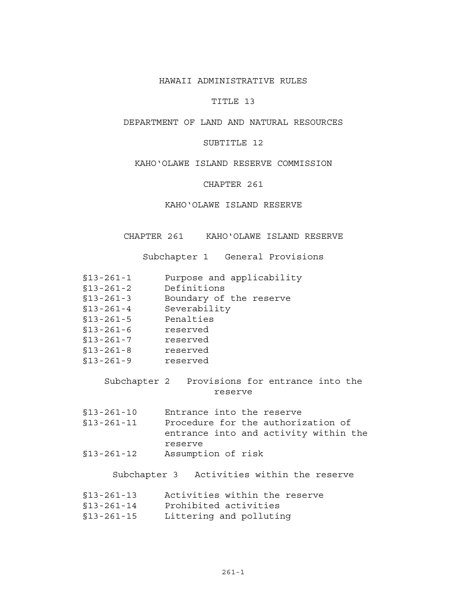#### HAWAII ADMINISTRATIVE RULES

## TITLE 13

# DEPARTMENT OF LAND AND NATURAL RESOURCES

## SUBTITLE 12

## KAHO'OLAWE ISLAND RESERVE COMMISSION

## CHAPTER 261

#### KAHO'OLAWE ISLAND RESERVE

CHAPTER 261 KAHO'OLAWE ISLAND RESERVE

Subchapter 1 General Provisions

| $$13 - 261 - 1$ |  |  | Purpose and applicability |  |
|-----------------|--|--|---------------------------|--|
|-----------------|--|--|---------------------------|--|

- 
- Boundary of the reserve
- %13-261-2 Definitions<br>%13-261-3 Boundary of<br>%13-261-4 Severability<br>%13-261-5 Penalties §13-261-4 Severability
- §13-261-5 Penalties
- $$13-261-6$  reserved
- §13-261-7 reserved
- §13-261-8 reserved
- §13-261-9 reserved

## Subchapter 2 Provisions for entrance into the reserve

§13-261-10 Entrance into the reserve §13-261-11 Procedure for the authorization of entrance into and activity within the reserve §13-261-12 Assumption of risk

# Subchapter 3 Activities within the reserve

| Activities within the reserve<br>$$13 - 261 - 13$ |  |  |  |  |  |  |
|---------------------------------------------------|--|--|--|--|--|--|
|---------------------------------------------------|--|--|--|--|--|--|

- §13-261-14 Prohibited activities
- §13-261-15 Littering and polluting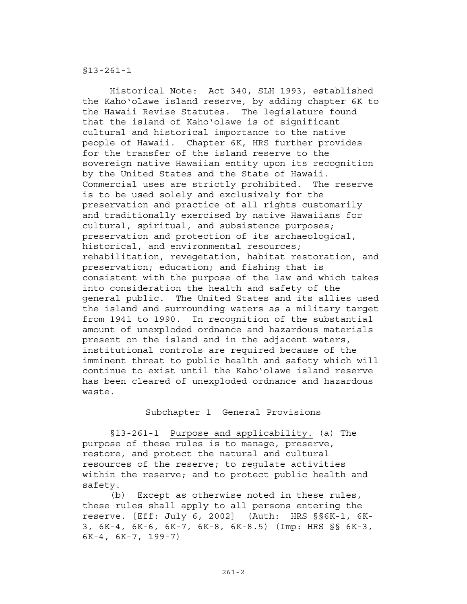§13-261-1

 Historical Note: Act 340, SLH 1993, established the Kaho'olawe island reserve, by adding chapter 6K to the Hawaii Revise Statutes. The legislature found that the island of Kaho'olawe is of significant cultural and historical importance to the native people of Hawaii. Chapter 6K, HRS further provides for the transfer of the island reserve to the sovereign native Hawaiian entity upon its recognition by the United States and the State of Hawaii. Commercial uses are strictly prohibited. The reserve is to be used solely and exclusively for the preservation and practice of all rights customarily and traditionally exercised by native Hawaiians for cultural, spiritual, and subsistence purposes; preservation and protection of its archaeological, historical, and environmental resources; rehabilitation, revegetation, habitat restoration, and preservation; education; and fishing that is consistent with the purpose of the law and which takes into consideration the health and safety of the general public. The United States and its allies used the island and surrounding waters as a military target from 1941 to 1990. In recognition of the substantial amount of unexploded ordnance and hazardous materials present on the island and in the adjacent waters, institutional controls are required because of the imminent threat to public health and safety which will continue to exist until the Kaho'olawe island reserve has been cleared of unexploded ordnance and hazardous waste.

#### Subchapter 1 General Provisions

§13-261-1 Purpose and applicability. (a) The purpose of these rules is to manage, preserve, restore, and protect the natural and cultural resources of the reserve; to regulate activities within the reserve; and to protect public health and safety.

(b) Except as otherwise noted in these rules, these rules shall apply to all persons entering the reserve. [Eff: July 6, 2002] (Auth: HRS §§6K-1, 6K-3, 6K-4, 6K-6, 6K-7, 6K-8, 6K-8.5) (Imp: HRS §§ 6K-3, 6K-4, 6K-7, 199-7)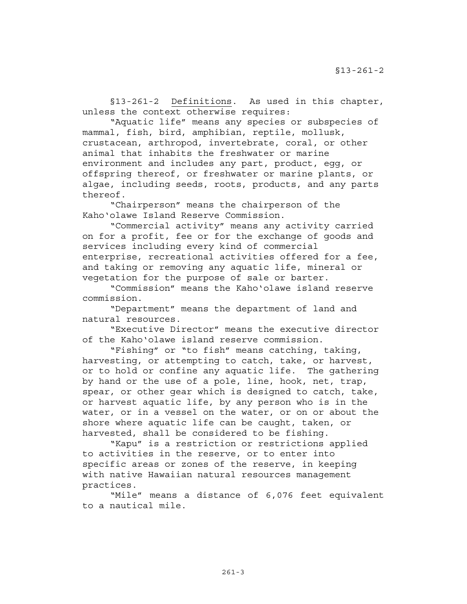§13-261-2 Definitions. As used in this chapter, unless the context otherwise requires:

 "Aquatic life" means any species or subspecies of mammal, fish, bird, amphibian, reptile, mollusk, crustacean, arthropod, invertebrate, coral, or other animal that inhabits the freshwater or marine environment and includes any part, product, egg, or offspring thereof, or freshwater or marine plants, or algae, including seeds, roots, products, and any parts thereof.

 "Chairperson" means the chairperson of the Kaho'olawe Island Reserve Commission.

 "Commercial activity" means any activity carried on for a profit, fee or for the exchange of goods and services including every kind of commercial enterprise, recreational activities offered for a fee, and taking or removing any aquatic life, mineral or vegetation for the purpose of sale or barter.

 "Commission" means the Kaho'olawe island reserve commission.

 "Department" means the department of land and natural resources.

 "Executive Director" means the executive director of the Kaho'olawe island reserve commission.

 "Fishing" or "to fish" means catching, taking, harvesting, or attempting to catch, take, or harvest, or to hold or confine any aquatic life. The gathering by hand or the use of a pole, line, hook, net, trap, spear, or other gear which is designed to catch, take, or harvest aquatic life, by any person who is in the water, or in a vessel on the water, or on or about the shore where aquatic life can be caught, taken, or harvested, shall be considered to be fishing.

 "Kapu" is a restriction or restrictions applied to activities in the reserve, or to enter into specific areas or zones of the reserve, in keeping with native Hawaiian natural resources management practices.

 "Mile" means a distance of 6,076 feet equivalent to a nautical mile.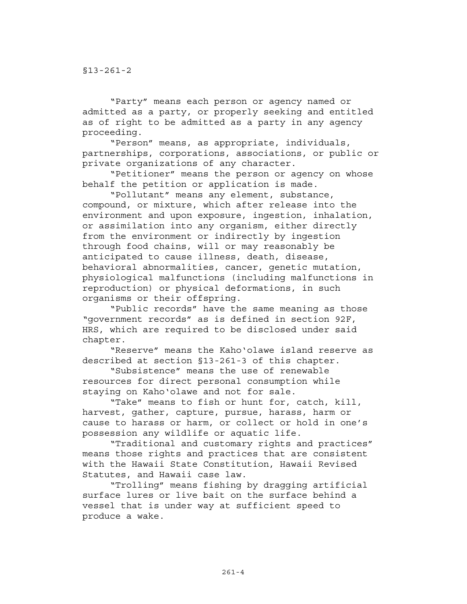"Party" means each person or agency named or admitted as a party, or properly seeking and entitled as of right to be admitted as a party in any agency proceeding.

 "Person" means, as appropriate, individuals, partnerships, corporations, associations, or public or private organizations of any character.

 "Petitioner" means the person or agency on whose behalf the petition or application is made.

 "Pollutant" means any element, substance, compound, or mixture, which after release into the environment and upon exposure, ingestion, inhalation, or assimilation into any organism, either directly from the environment or indirectly by ingestion through food chains, will or may reasonably be anticipated to cause illness, death, disease, behavioral abnormalities, cancer, genetic mutation, physiological malfunctions (including malfunctions in reproduction) or physical deformations, in such organisms or their offspring.

 "Public records" have the same meaning as those "government records" as is defined in section 92F, HRS, which are required to be disclosed under said chapter.

 "Reserve" means the Kaho'olawe island reserve as described at section §13-261-3 of this chapter.

 "Subsistence" means the use of renewable resources for direct personal consumption while staying on Kaho'olawe and not for sale.

 "Take" means to fish or hunt for, catch, kill, harvest, gather, capture, pursue, harass, harm or cause to harass or harm, or collect or hold in one's possession any wildlife or aquatic life.

 "Traditional and customary rights and practices" means those rights and practices that are consistent with the Hawaii State Constitution, Hawaii Revised Statutes, and Hawaii case law.

 "Trolling" means fishing by dragging artificial surface lures or live bait on the surface behind a vessel that is under way at sufficient speed to produce a wake.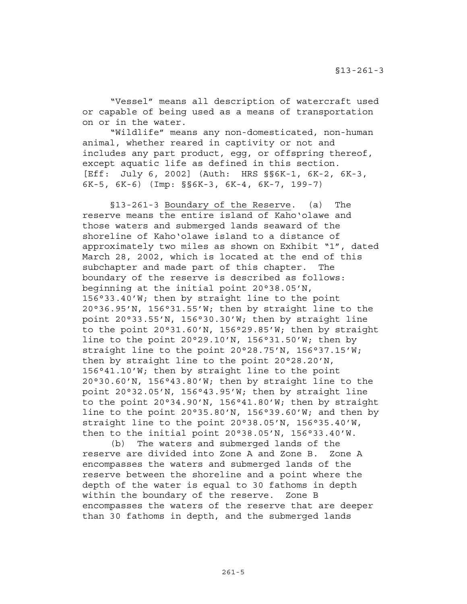"Vessel" means all description of watercraft used or capable of being used as a means of transportation on or in the water.

 "Wildlife" means any non-domesticated, non-human animal, whether reared in captivity or not and includes any part product, egg, or offspring thereof, except aquatic life as defined in this section. [Eff: July 6, 2002] (Auth: HRS §§6K-1, 6K-2, 6K-3, 6K-5, 6K-6) (Imp: §§6K-3, 6K-4, 6K-7, 199-7)

 §13-261-3 Boundary of the Reserve. (a) The reserve means the entire island of Kaho'olawe and those waters and submerged lands seaward of the shoreline of Kaho'olawe island to a distance of approximately two miles as shown on Exhibit "1", dated March 28, 2002, which is located at the end of this subchapter and made part of this chapter. The boundary of the reserve is described as follows: beginning at the initial point 20°38.05'N, 156°33.40'W; then by straight line to the point 20°36.95'N, 156°31.55'W; then by straight line to the point 20°33.55'N, 156°30.30'W; then by straight line to the point 20°31.60'N, 156°29.85'W; then by straight line to the point 20°29.10'N, 156°31.50'W; then by straight line to the point 20°28.75'N, 156°37.15'W; then by straight line to the point 20°28.20'N, 156°41.10'W; then by straight line to the point 20°30.60'N, 156°43.80'W; then by straight line to the point 20°32.05'N, 156°43.95'W; then by straight line to the point 20°34.90'N, 156°41.80'W; then by straight line to the point 20°35.80'N, 156°39.60'W; and then by straight line to the point 20°38.05'N, 156°35.40'W, then to the initial point 20°38.05'N, 156°33.40'W.

(b) The waters and submerged lands of the reserve are divided into Zone A and Zone B. Zone A encompasses the waters and submerged lands of the reserve between the shoreline and a point where the depth of the water is equal to 30 fathoms in depth within the boundary of the reserve. Zone B encompasses the waters of the reserve that are deeper than 30 fathoms in depth, and the submerged lands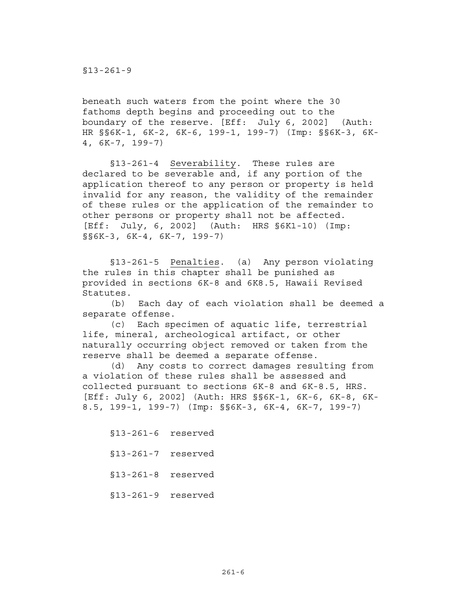beneath such waters from the point where the 30 fathoms depth begins and proceeding out to the boundary of the reserve. [Eff: July 6, 2002] (Auth: HR §§6K-1, 6K-2, 6K-6, 199-1, 199-7) (Imp: §§6K-3, 6K-4, 6K-7, 199-7)

 §13-261-4 Severability. These rules are declared to be severable and, if any portion of the application thereof to any person or property is held invalid for any reason, the validity of the remainder of these rules or the application of the remainder to other persons or property shall not be affected. [Eff: July, 6, 2002] (Auth: HRS §6K1-10) (Imp: §§6K-3, 6K-4, 6K-7, 199-7)

 §13-261-5 Penalties. (a) Any person violating the rules in this chapter shall be punished as provided in sections 6K-8 and 6K8.5, Hawaii Revised Statutes.

 (b) Each day of each violation shall be deemed a separate offense.

 (c) Each specimen of aquatic life, terrestrial life, mineral, archeological artifact, or other naturally occurring object removed or taken from the reserve shall be deemed a separate offense.

(d) Any costs to correct damages resulting from a violation of these rules shall be assessed and collected pursuant to sections 6K-8 and 6K-8.5, HRS. [Eff: July 6, 2002] (Auth: HRS §§6K-1, 6K-6, 6K-8, 6K-8.5, 199-1, 199-7) (Imp: §§6K-3, 6K-4, 6K-7, 199-7)

 §13-261-6 reserved §13-261-7 reserved §13-261-8 reserved §13-261-9 reserved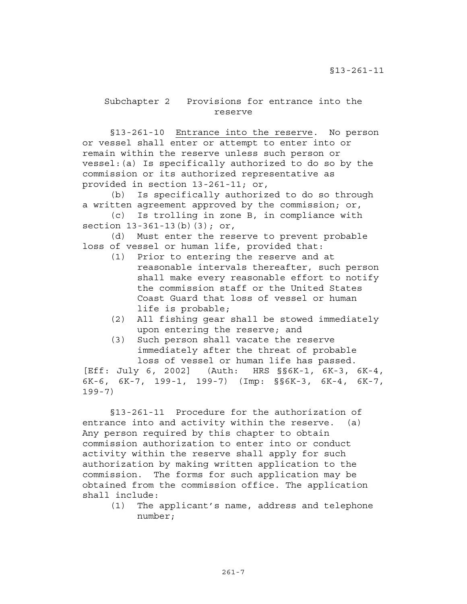# Subchapter 2 Provisions for entrance into the reserve

 §13-261-10 Entrance into the reserve. No person or vessel shall enter or attempt to enter into or remain within the reserve unless such person or vessel:(a) Is specifically authorized to do so by the commission or its authorized representative as provided in section 13-261-11; or,

(b) Is specifically authorized to do so through a written agreement approved by the commission; or,

(c) Is trolling in zone B, in compliance with section 13-361-13(b)(3); or,

(d) Must enter the reserve to prevent probable loss of vessel or human life, provided that:

- (1) Prior to entering the reserve and at reasonable intervals thereafter, such person shall make every reasonable effort to notify the commission staff or the United States Coast Guard that loss of vessel or human life is probable;
- (2) All fishing gear shall be stowed immediately upon entering the reserve; and
- (3) Such person shall vacate the reserve immediately after the threat of probable loss of vessel or human life has passed.

[Eff: July 6, 2002] (Auth: HRS §§6K-1, 6K-3, 6K-4, 6K-6, 6K-7, 199-1, 199-7) (Imp: §§6K-3, 6K-4, 6K-7, 199-7)

§13-261-11 Procedure for the authorization of entrance into and activity within the reserve. (a) Any person required by this chapter to obtain commission authorization to enter into or conduct activity within the reserve shall apply for such authorization by making written application to the commission. The forms for such application may be obtained from the commission office. The application shall include:

> (1) The applicant's name, address and telephone number;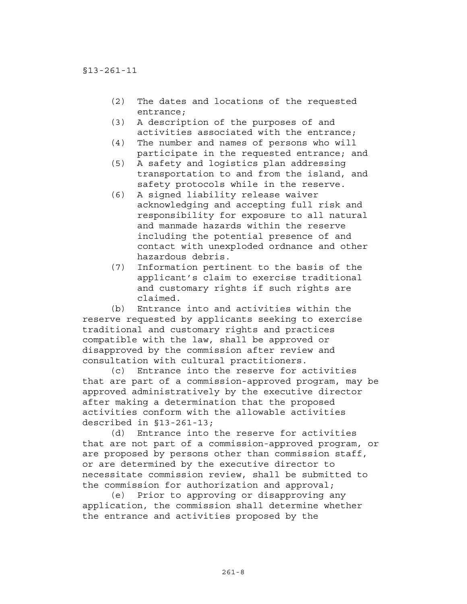- (2) The dates and locations of the requested entrance;
- (3) A description of the purposes of and activities associated with the entrance;
- (4) The number and names of persons who will participate in the requested entrance; and
- (5) A safety and logistics plan addressing transportation to and from the island, and safety protocols while in the reserve.
- (6) A signed liability release waiver acknowledging and accepting full risk and responsibility for exposure to all natural and manmade hazards within the reserve including the potential presence of and contact with unexploded ordnance and other hazardous debris.
- (7) Information pertinent to the basis of the applicant's claim to exercise traditional and customary rights if such rights are claimed.

(b) Entrance into and activities within the reserve requested by applicants seeking to exercise traditional and customary rights and practices compatible with the law, shall be approved or disapproved by the commission after review and consultation with cultural practitioners.

(c) Entrance into the reserve for activities that are part of a commission-approved program, may be approved administratively by the executive director after making a determination that the proposed activities conform with the allowable activities described in §13-261-13;

 (d) Entrance into the reserve for activities that are not part of a commission-approved program, or are proposed by persons other than commission staff, or are determined by the executive director to necessitate commission review, shall be submitted to the commission for authorization and approval;

 (e) Prior to approving or disapproving any application, the commission shall determine whether the entrance and activities proposed by the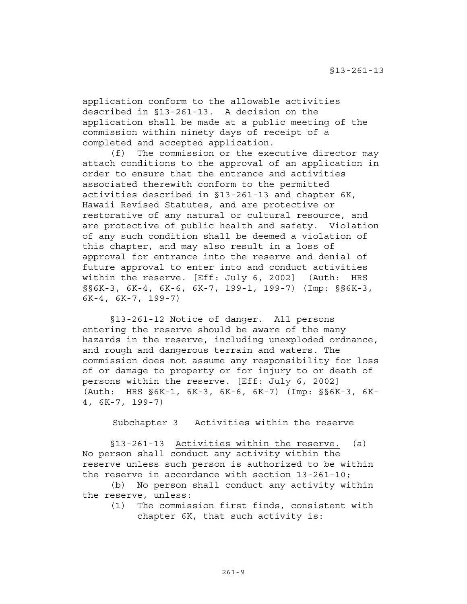application conform to the allowable activities described in §13-261-13. A decision on the application shall be made at a public meeting of the commission within ninety days of receipt of a completed and accepted application.

 (f) The commission or the executive director may attach conditions to the approval of an application in order to ensure that the entrance and activities associated therewith conform to the permitted activities described in §13-261-13 and chapter 6K, Hawaii Revised Statutes, and are protective or restorative of any natural or cultural resource, and are protective of public health and safety. Violation of any such condition shall be deemed a violation of this chapter, and may also result in a loss of approval for entrance into the reserve and denial of future approval to enter into and conduct activities within the reserve. [Eff: July 6, 2002] (Auth: HRS §§6K-3, 6K-4, 6K-6, 6K-7, 199-1, 199-7) (Imp: §§6K-3, 6K-4, 6K-7, 199-7)

 §13-261-12 Notice of danger. All persons entering the reserve should be aware of the many hazards in the reserve, including unexploded ordnance, and rough and dangerous terrain and waters. The commission does not assume any responsibility for loss of or damage to property or for injury to or death of persons within the reserve. [Eff: July 6, 2002] (Auth: HRS §6K-1, 6K-3, 6K-6, 6K-7) (Imp: §§6K-3, 6K-4, 6K-7, 199-7)

Subchapter 3 Activities within the reserve

 §13-261-13 Activities within the reserve. (a) No person shall conduct any activity within the reserve unless such person is authorized to be within the reserve in accordance with section 13-261-10;

 (b) No person shall conduct any activity within the reserve, unless:

(1) The commission first finds, consistent with chapter 6K, that such activity is: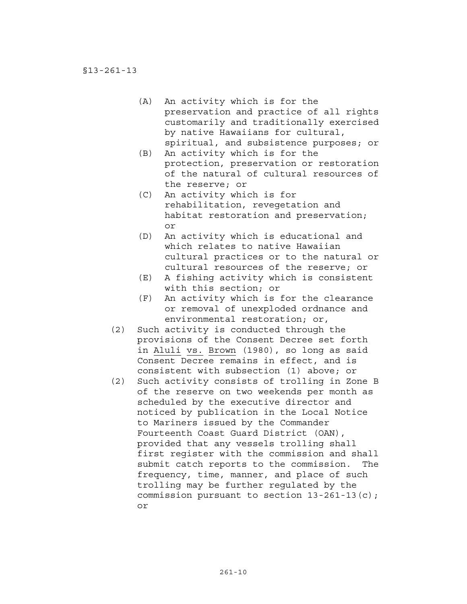- (A) An activity which is for the preservation and practice of all rights customarily and traditionally exercised by native Hawaiians for cultural, spiritual, and subsistence purposes; or
- (B) An activity which is for the protection, preservation or restoration of the natural of cultural resources of the reserve; or
- (C) An activity which is for rehabilitation, revegetation and habitat restoration and preservation; or
- (D) An activity which is educational and which relates to native Hawaiian cultural practices or to the natural or cultural resources of the reserve; or
- (E) A fishing activity which is consistent with this section; or
- (F) An activity which is for the clearance or removal of unexploded ordnance and environmental restoration; or,
- (2) Such activity is conducted through the provisions of the Consent Decree set forth in Aluli vs. Brown (1980), so long as said Consent Decree remains in effect, and is consistent with subsection (1) above; or
- (2) Such activity consists of trolling in Zone B of the reserve on two weekends per month as scheduled by the executive director and noticed by publication in the Local Notice to Mariners issued by the Commander Fourteenth Coast Guard District (OAN), provided that any vessels trolling shall first register with the commission and shall submit catch reports to the commission. The frequency, time, manner, and place of such trolling may be further regulated by the commission pursuant to section 13-261-13(c); or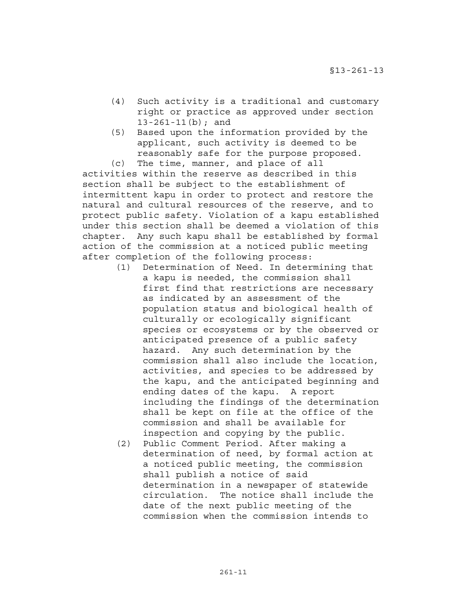- (4) Such activity is a traditional and customary right or practice as approved under section 13-261-11(b); and
- (5) Based upon the information provided by the applicant, such activity is deemed to be reasonably safe for the purpose proposed. (c) The time, manner, and place of all

activities within the reserve as described in this section shall be subject to the establishment of intermittent kapu in order to protect and restore the natural and cultural resources of the reserve, and to protect public safety. Violation of a kapu established under this section shall be deemed a violation of this chapter. Any such kapu shall be established by formal action of the commission at a noticed public meeting after completion of the following process:

- (1) Determination of Need. In determining that a kapu is needed, the commission shall first find that restrictions are necessary as indicated by an assessment of the population status and biological health of culturally or ecologically significant species or ecosystems or by the observed or anticipated presence of a public safety hazard. Any such determination by the commission shall also include the location, activities, and species to be addressed by the kapu, and the anticipated beginning and ending dates of the kapu. A report including the findings of the determination shall be kept on file at the office of the commission and shall be available for inspection and copying by the public.
- (2) Public Comment Period. After making a determination of need, by formal action at a noticed public meeting, the commission shall publish a notice of said determination in a newspaper of statewide circulation. The notice shall include the date of the next public meeting of the commission when the commission intends to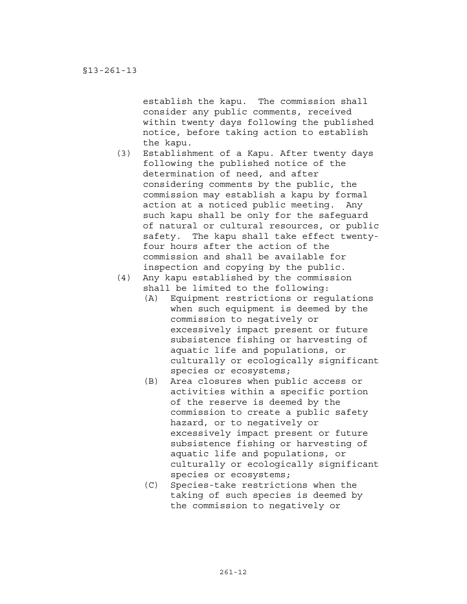establish the kapu. The commission shall consider any public comments, received within twenty days following the published notice, before taking action to establish the kapu.

- (3) Establishment of a Kapu. After twenty days following the published notice of the determination of need, and after considering comments by the public, the commission may establish a kapu by formal action at a noticed public meeting. Any such kapu shall be only for the safeguard of natural or cultural resources, or public safety. The kapu shall take effect twentyfour hours after the action of the commission and shall be available for inspection and copying by the public.
- (4) Any kapu established by the commission shall be limited to the following:
	- (A) Equipment restrictions or regulations when such equipment is deemed by the commission to negatively or excessively impact present or future subsistence fishing or harvesting of aquatic life and populations, or culturally or ecologically significant species or ecosystems;
	- (B) Area closures when public access or activities within a specific portion of the reserve is deemed by the commission to create a public safety hazard, or to negatively or excessively impact present or future subsistence fishing or harvesting of aquatic life and populations, or culturally or ecologically significant species or ecosystems;
	- (C) Species-take restrictions when the taking of such species is deemed by the commission to negatively or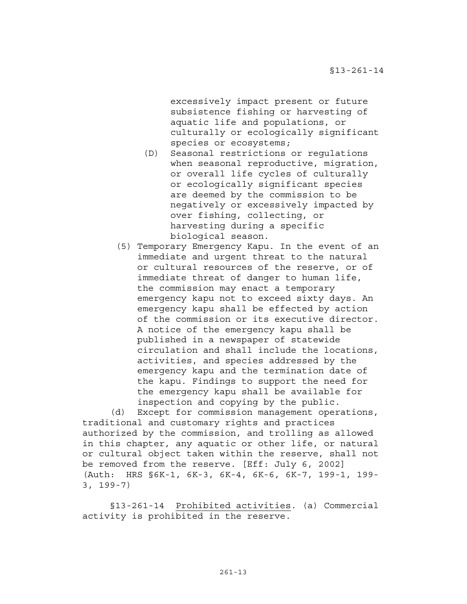excessively impact present or future subsistence fishing or harvesting of aquatic life and populations, or culturally or ecologically significant species or ecosystems;

- (D) Seasonal restrictions or regulations when seasonal reproductive, migration, or overall life cycles of culturally or ecologically significant species are deemed by the commission to be negatively or excessively impacted by over fishing, collecting, or harvesting during a specific biological season.
- (5) Temporary Emergency Kapu. In the event of an immediate and urgent threat to the natural or cultural resources of the reserve, or of immediate threat of danger to human life, the commission may enact a temporary emergency kapu not to exceed sixty days. An emergency kapu shall be effected by action of the commission or its executive director. A notice of the emergency kapu shall be published in a newspaper of statewide circulation and shall include the locations, activities, and species addressed by the emergency kapu and the termination date of the kapu. Findings to support the need for the emergency kapu shall be available for inspection and copying by the public.

 (d) Except for commission management operations, traditional and customary rights and practices authorized by the commission, and trolling as allowed in this chapter, any aquatic or other life, or natural or cultural object taken within the reserve, shall not be removed from the reserve. [Eff: July 6, 2002] (Auth: HRS §6K-1, 6K-3, 6K-4, 6K-6, 6K-7, 199-1, 199- 3, 199-7)

 §13-261-14 Prohibited activities. (a) Commercial activity is prohibited in the reserve.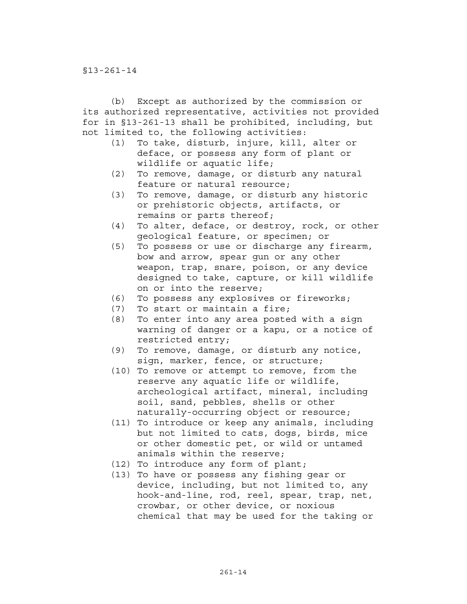(b) Except as authorized by the commission or its authorized representative, activities not provided for in §13-261-13 shall be prohibited, including, but not limited to, the following activities:

- (1) To take, disturb, injure, kill, alter or deface, or possess any form of plant or wildlife or aquatic life;
- (2) To remove, damage, or disturb any natural feature or natural resource;
- (3) To remove, damage, or disturb any historic or prehistoric objects, artifacts, or remains or parts thereof;
- (4) To alter, deface, or destroy, rock, or other geological feature, or specimen; or
- (5) To possess or use or discharge any firearm, bow and arrow, spear gun or any other weapon, trap, snare, poison, or any device designed to take, capture, or kill wildlife on or into the reserve;
- (6) To possess any explosives or fireworks;
- (7) To start or maintain a fire;
- (8) To enter into any area posted with a sign warning of danger or a kapu, or a notice of restricted entry;
- (9) To remove, damage, or disturb any notice, sign, marker, fence, or structure;
- (10) To remove or attempt to remove, from the reserve any aquatic life or wildlife, archeological artifact, mineral, including soil, sand, pebbles, shells or other naturally-occurring object or resource;
- (11) To introduce or keep any animals, including but not limited to cats, dogs, birds, mice or other domestic pet, or wild or untamed animals within the reserve;
- (12) To introduce any form of plant;
- (13) To have or possess any fishing gear or device, including, but not limited to, any hook-and-line, rod, reel, spear, trap, net, crowbar, or other device, or noxious chemical that may be used for the taking or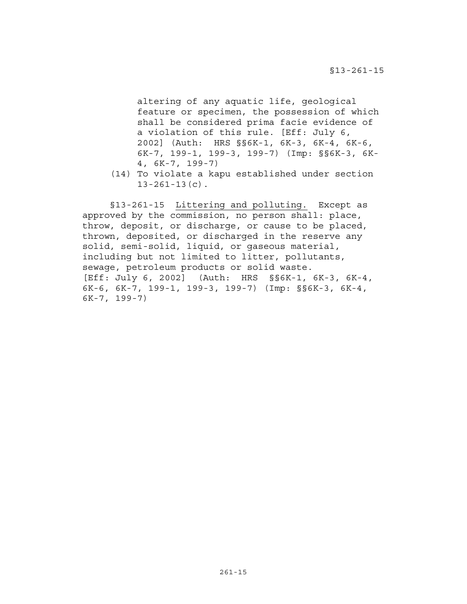altering of any aquatic life, geological feature or specimen, the possession of which shall be considered prima facie evidence of a violation of this rule. [Eff: July 6, 2002] (Auth: HRS §§6K-1, 6K-3, 6K-4, 6K-6, 6K-7, 199-1, 199-3, 199-7) (Imp: §§6K-3, 6K-4, 6K-7, 199-7)

(14) To violate a kapu established under section  $13-261-13(c)$ .

§13-261-15 Littering and polluting. Except as approved by the commission, no person shall: place, throw, deposit, or discharge, or cause to be placed, thrown, deposited, or discharged in the reserve any solid, semi-solid, liquid, or gaseous material, including but not limited to litter, pollutants, sewage, petroleum products or solid waste. [Eff: July 6, 2002] (Auth: HRS §§6K-1, 6K-3, 6K-4, 6K-6, 6K-7, 199-1, 199-3, 199-7) (Imp: §§6K-3, 6K-4, 6K-7, 199-7)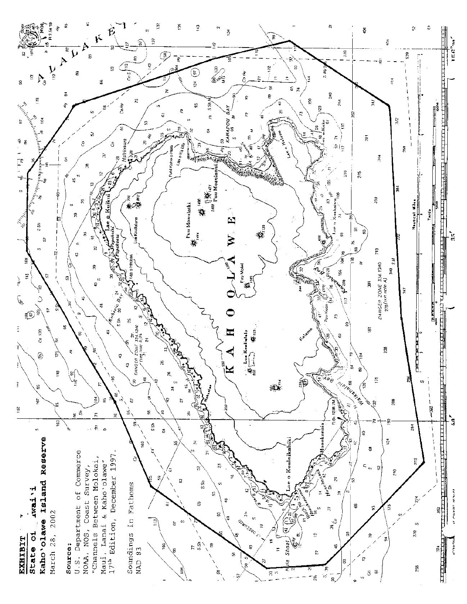